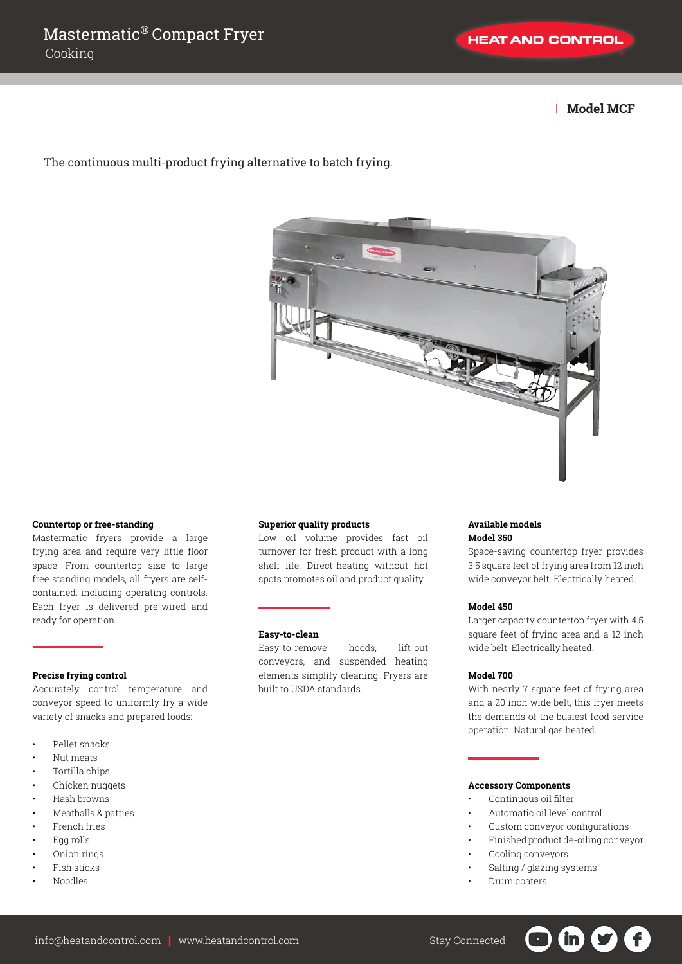| **Model MCF**

The continuous multi-product frying alternative to batch frying.



# **Countertop or free-standing**

Mastermatic fryers provide a large frying area and require very little floor space. From countertop size to large free standing models, all fryers are selfcontained, including operating controls. Each fryer is delivered pre-wired and ready for operation.

# **Precise frying control**

Accurately control temperature and conveyor speed to uniformly fry a wide variety of snacks and prepared foods:

- Pellet snacks
- Nut meats
- Tortilla chips
- Chicken nuggets
- Hash browns
- Meatballs & patties
- French fries
- Egg rolls
- Onion rings
- Fish sticks
- Noodles

# **Superior quality products**

Low oil volume provides fast oil turnover for fresh product with a long shelf life. Direct-heating without hot spots promotes oil and product quality.

### **Easy-to-clean**

Easy-to-remove hoods, lift-out conveyors, and suspended heating elements simplify cleaning. Fryers are built to USDA standards.

### **Available models Model 350**

Space-saving countertop fryer provides 3.5 square feet of frying area from 12 inch wide conveyor belt. Electrically heated.

#### **Model 450**

Larger capacity countertop fryer with 4.5 square feet of frying area and a 12 inch wide belt. Electrically heated.

# **Model 700**

With nearly 7 square feet of frying area and a 20 inch wide belt, this fryer meets the demands of the busiest food service operation. Natural gas heated.

#### **Accessory Components**

- Continuous oil filter
- Automatic oil level control
- Custom conveyor configurations
- Finished product de-oiling conveyor
	- Cooling conveyors
	- Salting / glazing systems
	- Drum coaters